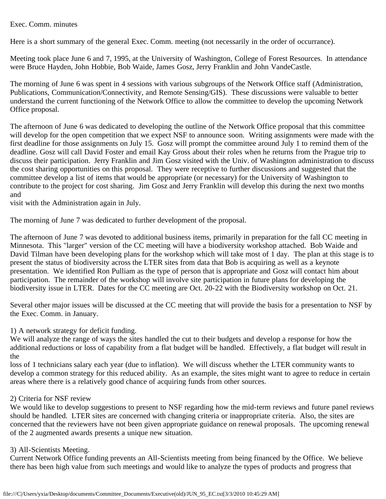## Exec. Comm. minutes

Here is a short summary of the general Exec. Comm. meeting (not necessarily in the order of occurrance).

Meeting took place June 6 and 7, 1995, at the University of Washington, College of Forest Resources. In attendance were Bruce Hayden, John Hobbie, Bob Waide, James Gosz, Jerry Franklin and John VandeCastle.

The morning of June 6 was spent in 4 sessions with various subgroups of the Network Office staff (Administration, Publications, Communication/Connectivity, and Remote Sensing/GIS). These discussions were valuable to better understand the current functioning of the Network Office to allow the committee to develop the upcoming Network Office proposal.

The afternoon of June 6 was dedicated to developing the outline of the Network Office proposal that this committee will develop for the open competition that we expect NSF to announce soon. Writing assignments were made with the first deadline for those assignments on July 15. Gosz will prompt the committee around July 1 to remind them of the deadline. Gosz will call David Foster and email Kay Gross about their roles when he returns from the Prague trip to discuss their participation. Jerry Franklin and Jim Gosz visited with the Univ. of Washington administration to discuss the cost sharing opportunities on this proposal. They were receptive to further discussions and suggested that the committee develop a list of items that would be appropriate (or necessary) for the University of Washington to contribute to the project for cost sharing. Jim Gosz and Jerry Franklin will develop this during the next two months and

visit with the Administration again in July.

The morning of June 7 was dedicated to further development of the proposal.

The afternoon of June 7 was devoted to additional business items, primarily in preparation for the fall CC meeting in Minnesota. This "larger" version of the CC meeting will have a biodiversity workshop attached. Bob Waide and David Tilman have been developing plans for the workshop which will take most of 1 day. The plan at this stage is to present the status of biodiversity across the LTER sites from data that Bob is acquiring as well as a keynote presentation. We identified Ron Pulliam as the type of person that is appropriate and Gosz will contact him about participation. The remainder of the workshop will involve site participation in future plans for developing the biodiversity issue in LTER. Dates for the CC meeting are Oct. 20-22 with the Biodiversity workshop on Oct. 21.

Several other major issues will be discussed at the CC meeting that will provide the basis for a presentation to NSF by the Exec. Comm. in January.

## 1) A network strategy for deficit funding.

We will analyze the range of ways the sites handled the cut to their budgets and develop a response for how the additional reductions or loss of capability from a flat budget will be handled. Effectively, a flat budget will result in the

loss of 1 technicians salary each year (due to inflation). We will discuss whether the LTER community wants to develop a common strategy for this reduced ability. As an example, the sites might want to agree to reduce in certain areas where there is a relatively good chance of acquiring funds from other sources.

## 2) Criteria for NSF review

We would like to develop suggestions to present to NSF regarding how the mid-term reviews and future panel reviews should be handled. LTER sites are concerned with changing criteria or inappropriate criteria. Also, the sites are concerned that the reviewers have not been given appropriate guidance on renewal proposals. The upcoming renewal of the 2 augmented awards presents a unique new situation.

## 3) All-Scientists Meeting.

Current Network Office funding prevents an All-Scientists meeting from being financed by the Office. We believe there has been high value from such meetings and would like to analyze the types of products and progress that